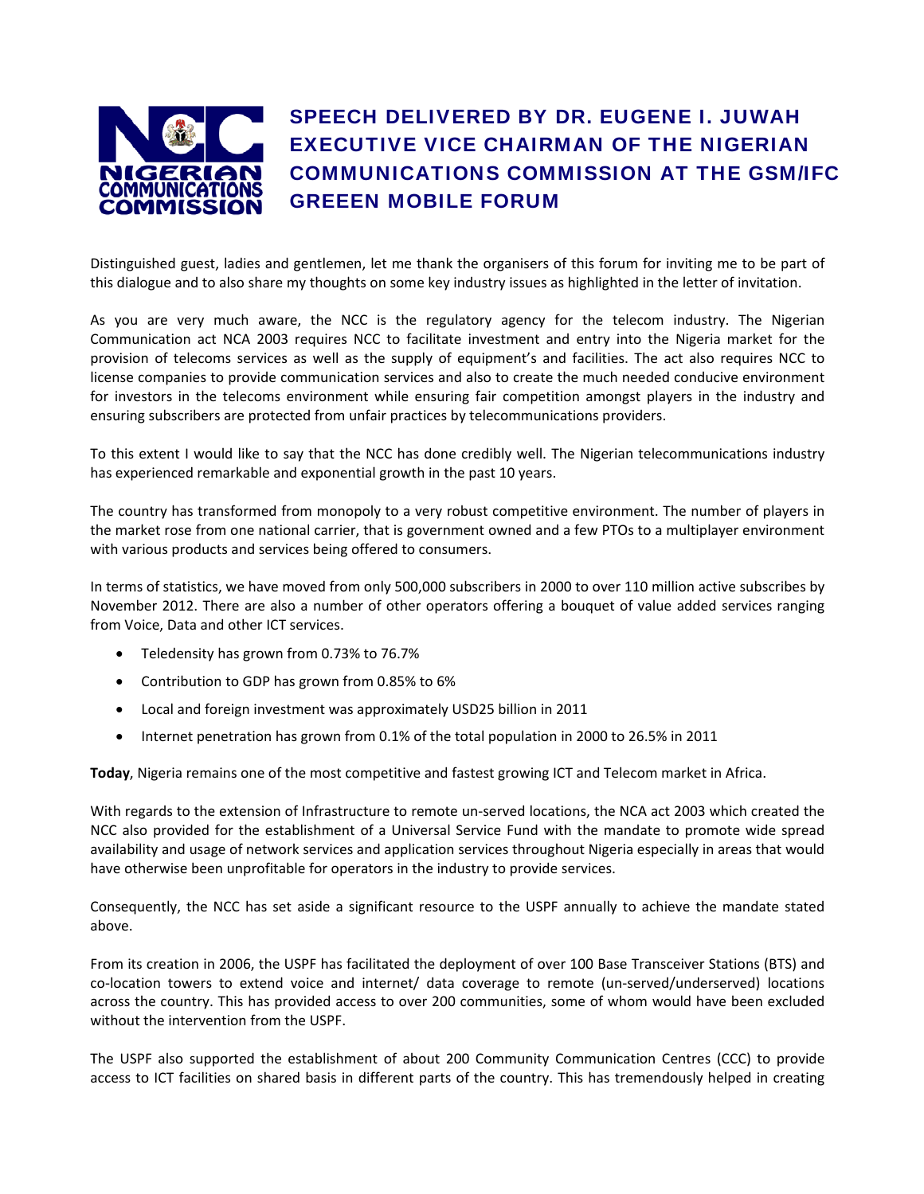

## SPEECH DELIVERED BY DR. EUGENE I. JUWAH EXECUTIVE VICE CHAIRMAN OF THE NIGERIAN COMMUNICATIONS COMMISSION AT THE GSM/IFC GREEEN MOBILE FORUM

Distinguished guest, ladies and gentlemen, let me thank the organisers of this forum for inviting me to be part of this dialogue and to also share my thoughts on some key industry issues as highlighted in the letter of invitation.

As you are very much aware, the NCC is the regulatory agency for the telecom industry. The Nigerian Communication act NCA 2003 requires NCC to facilitate investment and entry into the Nigeria market for the provision of telecoms services as well as the supply of equipment's and facilities. The act also requires NCC to license companies to provide communication services and also to create the much needed conducive environment for investors in the telecoms environment while ensuring fair competition amongst players in the industry and ensuring subscribers are protected from unfair practices by telecommunications providers.

To this extent I would like to say that the NCC has done credibly well. The Nigerian telecommunications industry has experienced remarkable and exponential growth in the past 10 years.

The country has transformed from monopoly to a very robust competitive environment. The number of players in the market rose from one national carrier, that is government owned and a few PTOs to a multiplayer environment with various products and services being offered to consumers.

In terms of statistics, we have moved from only 500,000 subscribers in 2000 to over 110 million active subscribes by November 2012. There are also a number of other operators offering a bouquet of value added services ranging from Voice, Data and other ICT services.

- Teledensity has grown from 0.73% to 76.7%
- Contribution to GDP has grown from 0.85% to 6%
- Local and foreign investment was approximately USD25 billion in 2011
- Internet penetration has grown from 0.1% of the total population in 2000 to 26.5% in 2011

**Today**, Nigeria remains one of the most competitive and fastest growing ICT and Telecom market in Africa.

With regards to the extension of Infrastructure to remote un-served locations, the NCA act 2003 which created the NCC also provided for the establishment of a Universal Service Fund with the mandate to promote wide spread availability and usage of network services and application services throughout Nigeria especially in areas that would have otherwise been unprofitable for operators in the industry to provide services.

Consequently, the NCC has set aside a significant resource to the USPF annually to achieve the mandate stated above.

From its creation in 2006, the USPF has facilitated the deployment of over 100 Base Transceiver Stations (BTS) and co-location towers to extend voice and internet/ data coverage to remote (un-served/underserved) locations across the country. This has provided access to over 200 communities, some of whom would have been excluded without the intervention from the USPF.

The USPF also supported the establishment of about 200 Community Communication Centres (CCC) to provide access to ICT facilities on shared basis in different parts of the country. This has tremendously helped in creating